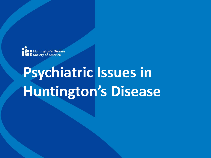

# **Psychiatric Issues in Huntington's Disease**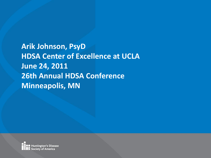**Arik Johnson, PsyD HDSA Center of Excellence at UCLA June 24, 2011 26th Annual HDSA Conference Minneapolis, MN**

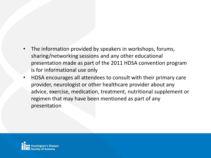- The information provided by speakers in workshops, forums, sharing/networking sessions and any other educational presentation made as part of the 2011 HDSA convention program is for informational use only
- HDSA encourages all attendees to consult with their primary care provider, neurologist or other healthcare provider about any advice, exercise, medication, treatment, nutritional supplement or regimen that may have been mentioned as part of any presentation

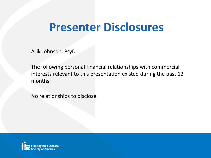#### **Presenter Disclosures**

Arik Johnson, PsyD

The following personal financial relationships with commercial interests relevant to this presentation existed during the past 12 months:

No relationships to disclose

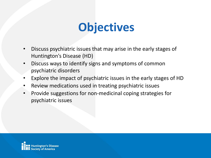#### **Objectives**

- Discuss psychiatric issues that may arise in the early stages of Huntington's Disease (HD)
- Discuss ways to identify signs and symptoms of common psychiatric disorders
- Explore the impact of psychiatric issues in the early stages of HD
- Review medications used in treating psychiatric issues
- Provide suggestions for non-medicinal coping strategies for psychiatric issues

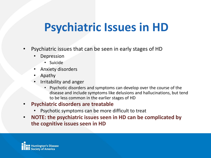- Psychiatric issues that can be seen in early stages of HD
	- **Depression** 
		- Suicide
	- Anxiety disorders
	- Apathy
	- Irritability and anger
		- Psychotic disorders and symptoms can develop over the course of the disease and include symptoms like delusions and hallucinations, but tend to be less common in the earlier stages of HD
- **Psychiatric disorders are treatable**
	- Psychotic symptoms can be more difficult to treat
- **NOTE: the psychiatric issues seen in HD can be complicated by the cognitive issues seen in HD**

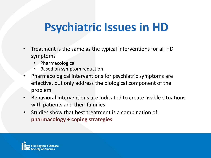- Treatment is the same as the typical interventions for all HD symptoms
	- Pharmacological
	- Based on symptom reduction
- Pharmacological interventions for psychiatric symptoms are effective, but only address the biological component of the problem
- Behavioral interventions are indicated to create livable situations with patients and their families
- Studies show that best treatment is a combination of: **pharmacology + coping strategies**

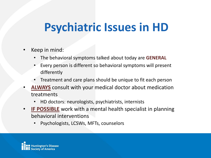- Keep in mind:
	- The behavioral symptoms talked about today are **GENERAL**
	- Every person is different so behavioral symptoms will present differently
	- Treatment and care plans should be unique to fit each person
- **ALWAYS** consult with your medical doctor about medication treatments
	- HD doctors: neurologists, psychiatrists, internists
- **IF POSSIBLE** work with a mental health specialist in planning behavioral interventions
	- Psychologists, LCSWs, MFTs, counselors

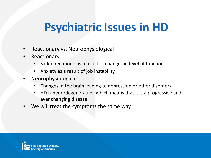- Reactionary vs. Neurophysiological
- Reactionary
	- Saddened mood as a result of changes in level of function
	- Anxiety as a result of job instability
- Neurophysiological
	- Changes in the brain leading to depression or other disorders
	- HD is neurodegenerative, which means that it is a progressive and ever changing disease
- We will treat the symptoms the same way

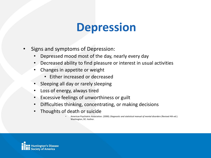#### **Depression**

- Signs and symptoms of Depression:
	- Depressed mood most of the day, nearly every day
	- Decreased ability to find pleasure or interest in usual activities
	- Changes in appetite or weight
		- Either increased or decreased
	- Sleeping all day or rarely sleeping
	- Loss of energy, always tired
	- Excessive feelings of unworthiness or guilt
	- Difficulties thinking, concentrating, or making decisions
	- Thoughts of death or suicide
		- American Psychiatric Association. (2000). *Diagnostic and statistical manual of mental disorders* (Revised 4th ed.). Washington, DC: Author.

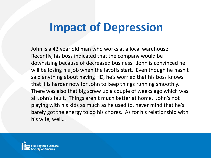#### **Impact of Depression**

John is a 42 year old man who works at a local warehouse. Recently, his boss indicated that the company would be downsizing because of decreased business. John is convinced he will be losing his job when the layoffs start. Even though he hasn't said anything about having HD, he's worried that his boss knows that it is harder now for John to keep things running smoothly. There was also that big screw up a couple of weeks ago which was all John's fault. Things aren't much better at home. John's not playing with his kids as much as he used to, never mind that he's barely got the energy to do his chores. As for his relationship with his wife, well…

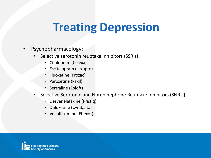#### **Treating Depression**

- Psychopharmacology:
	- Selective serotonin reuptake inhibitors (SSRIs)
		- Citalopram (Celexa)
		- Escitalopram (Lexapro)
		- Fluoxetine (Prozac)
		- Paroxetine (Paxil)
		- Sertraline (Zoloft)
	- Selective Serotonin and Norepinephrine Reuptake Inhibitors (SNRIs)
		- Desvenelafaxine (Pristiq)
		- Duloxetine (Cymbalta)
		- Venalfaximine (Effexor)

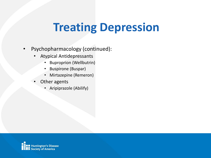### **Treating Depression**

- Psychopharmacology (continued):
	- Atypical Antidepressants
		- Buproprion (Wellbutrin)
		- Buspirone (Buspar)
		- Mirtazepine (Remeron)
	- Other agents
		- Aripiprazole (Abilify)

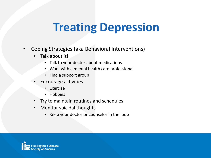### **Treating Depression**

- Coping Strategies (aka Behavioral Interventions)
	- Talk about it!
		- Talk to your doctor about medications
		- Work with a mental health care professional
		- Find a support group
	- Encourage activities
		- **Exercise**
		- Hobbies
	- Try to maintain routines and schedules
	- Monitor suicidal thoughts
		- Keep your doctor or counselor in the loop

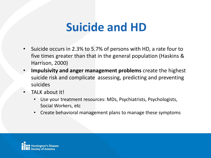#### **Suicide and HD**

- Suicide occurs in 2.3% to 5.7% of persons with HD, a rate four to five times greater than that in the general population (Haskins & Harrison, 2000)
- **Impulsivity and anger management problems** create the highest suicide risk and complicate assessing, predicting and preventing suicides
- TALK about it!
	- Use your treatment resources: MDs, Psychiatrists, Psychologists, Social Workers, etc
	- Create behavioral management plans to manage these symptoms

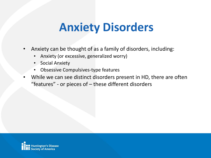#### **Anxiety Disorders**

- Anxiety can be thought of as a family of disorders, including:
	- Anxiety (or excessive, generalized worry)
	- Social Anxiety
	- Obsessive Compulsives-type features
- While we can see distinct disorders present in HD, there are often "features" - or pieces of – these different disorders

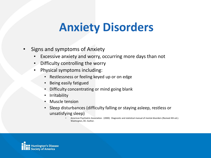### **Anxiety Disorders**

- Signs and symptoms of Anxiety
	- Excessive anxiety and worry, occurring more days than not
	- Difficulty controlling the worry
	- Physical symptoms including:
		- Restlessness or feeling keyed up or on edge
		- Being easily fatigued
		- Difficulty concentrating or mind going blank
		- **Irritability**
		- Muscle tension
		- Sleep disturbances (difficulty falling or staying asleep, restless or unsatisfying sleep)
			- American Psychiatric Association. (2000). Diagnostic and statistical manual of mental disorders (Revised 4th ed.). Washington, DC: Author.

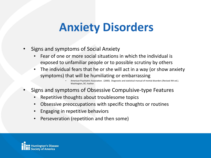#### **Anxiety Disorders**

- Signs and symptoms of Social Anxiety
	- Fear of one or more social situations in which the individual is exposed to unfamiliar people or to possible scrutiny by others
	- The individual fears that he or she will act in a way (or show anxiety symptoms) that will be humiliating or embarrassing

- Signs and symptoms of Obsessive Compulsive-type Features
	- Repetitive thoughts about troublesome topics
	- Obsessive preoccupations with specific thoughts or routines
	- Engaging in repetitive behaviors
	- Perseveration (repetition and then some)



<sup>•</sup> American Psychiatric Association. (2000). Diagnostic and statistical manual of mental disorders (Revised 4th ed.). Washington, DC: Author.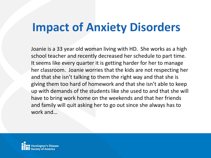#### **Impact of Anxiety Disorders**

Joanie is a 33 year old woman living with HD. She works as a high school teacher and recently decreased her schedule to part time. It seems like every quarter it is getting harder for her to manage her classroom. Joanie worries that the kids are not respecting her and that she isn't talking to them the right way and that she is giving them too hard of homework and that she isn't able to keep up with demands of the students like she used to and that she will have to bring work home on the weekends and that her friends and family will quit asking her to go out since she always has to work and…

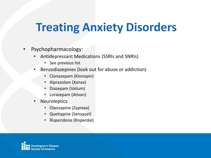#### **Treating Anxiety Disorders**

- Psychopharmacology:
	- Antidepressant Medications (SSRIs and SNRIs)
		- See previous list
	- Benzodiazepines (look out for abuse or addiction)
		- Clonazepam (Klonopin)
		- Alprazolam (Xanax)
		- Diazepam (Valium)
		- Lorazepam (Ativan)
	- **Neuroleptics** 
		- Olanzapine (Zyprexa)
		- Quetiapine (Seroquel)
		- Risperidone (Risperdal)

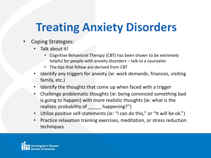# **Treating Anxiety Disorders**

- Coping Strategies:
	- Talk about it!
		- Cognitive Behavioral Therapy (CBT) has been shown to be extremely helpful for people with anxiety disorders – talk to a counselor
		- The tips that follow are derived from CBT
	- Identify any triggers for anxiety (ie: work demands, finances, visiting family, etc.)
	- Identify the thoughts that come up when faced with a trigger
	- Challenge problematic thoughts (ie: being convinced something bad is going to happen) with more realistic thoughts (ie: what is the realistic probability of \_\_\_\_\_ happening?")
	- Utilize positive self-statements (ie: "I can do this," or "It will be ok.")
	- Practice relaxation training exercises, meditation, or stress reduction techniques

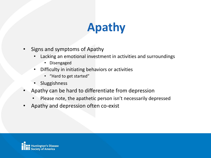# **Apathy**

- Signs and symptoms of Apathy
	- Lacking an emotional investment in activities and surroundings
		- Disengaged
	- Difficulty in initiating behaviors or activities
		- "Hard to get started"
	- **Sluggishness**
- Apathy can be hard to differentiate from depression
	- Please note, the apathetic person isn't necessarily depressed
- Apathy and depression often co-exist

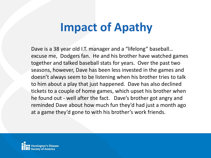### **Impact of Apathy**

Dave is a 38 year old I.T. manager and a "lifelong" baseball… excuse me, Dodgers fan. He and his brother have watched games together and talked baseball stats for years. Over the past two seasons, however, Dave has been less invested in the games and doesn't always seem to be listening when his brother tries to talk to him about a play that just happened. Dave has also declined tickets to a couple of home games, which upset his brother when he found out - well after the fact. Dave's brother got angry and reminded Dave about how much fun they'd had just a month ago at a game they'd gone to with his brother's work friends.

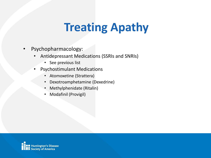### **Treating Apathy**

- Psychopharmacology:
	- Antidepressant Medications (SSRIs and SNRIs)
		- See previous list
	- Psychostimulant Medications
		- Atomoxetine (Strattera)
		- Dexotroamphetamine (Dexedrine)
		- Methylphenidate (Ritalin)
		- Modafinil (Provigil)

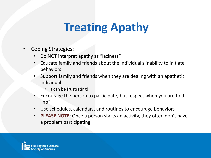### **Treating Apathy**

- Coping Strategies:
	- Do NOT interpret apathy as "laziness"
	- Educate family and friends about the individual's inability to initiate behaviors
	- Support family and friends when they are dealing with an apathetic individual
		- It can be frustrating!
	- Encourage the person to participate, but respect when you are told  $"no"$
	- Use schedules, calendars, and routines to encourage behaviors
	- **PLEASE NOTE**: Once a person starts an activity, they often don't have a problem participating

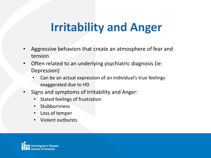# **Irritability and Anger**

- Aggressive behaviors that create an atmosphere of fear and tension
- Often related to an underlying psychiatric diagnosis (ie: Depression)
	- Can be an actual expression of an individual's true feelings exaggerated due to HD
- Signs and symptoms of Irritability and Anger:
	- Stated feelings of frustration
	- **Stubbornness**
	- Loss of temper
	- Violent outbursts

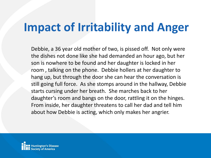### **Impact of Irritability and Anger**

Debbie, a 36 year old mother of two, is pissed off. Not only were the dishes not done like she had demanded an hour ago, but her son is nowhere to be found and her daughter is locked in her room , talking on the phone. Debbie hollers at her daughter to hang up, but through the door she can hear the conversation is still going full force. As she stomps around in the hallway, Debbie starts cursing under her breath. She marches back to her daughter's room and bangs on the door, rattling it on the hinges. From inside, her daughter threatens to call her dad and tell him about how Debbie is acting, which only makes her angrier.

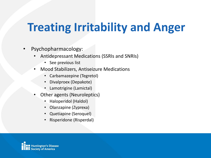# **Treating Irritability and Anger**

- Psychopharmacology:
	- Antidepressant Medications (SSRIs and SNRIs)
		- See previous list
	- Mood Stabilizers, Antiseizure Medications
		- Carbamazepine (Tegretol)
		- Divalproex (Depakote)
		- Lamotrigine (Lamictal)
	- Other agents (Neuroleptics)
		- Haloperidol (Haldol)
		- Olanzapine (Zyprexa)
		- Quetiapine (Seroquel)
		- Risperidone (Risperdal)

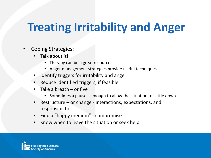# **Treating Irritability and Anger**

- Coping Strategies:
	- Talk about it!
		- Therapy can be a great resource
		- Anger management strategies provide useful techniques
	- Identify triggers for irritability and anger
	- Reduce identified triggers, if feasible
	- Take a breath  $-$  or five
		- Sometimes a pause is enough to allow the situation to settle down
	- Restructure  $-$  or change interactions, expectations, and responsibilities
	- Find a "happy medium" compromise
	- Know when to leave the situation or seek help

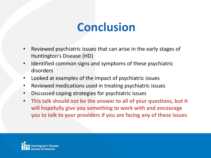#### **Conclusion**

- Reviewed psychiatric issues that can arise in the early stages of Huntington's Disease (HD)
- Identified common signs and symptoms of these psychiatric disorders
- Looked at examples of the impact of psychiatric issues
- Reviewed medications used in treating psychiatric issues
- Discussed coping strategies for psychiatric issues
- **This talk should not be the answer to all of your questions, but it will hopefully give you something to work with and encourage you to talk to your providers if you are facing any of these issues**